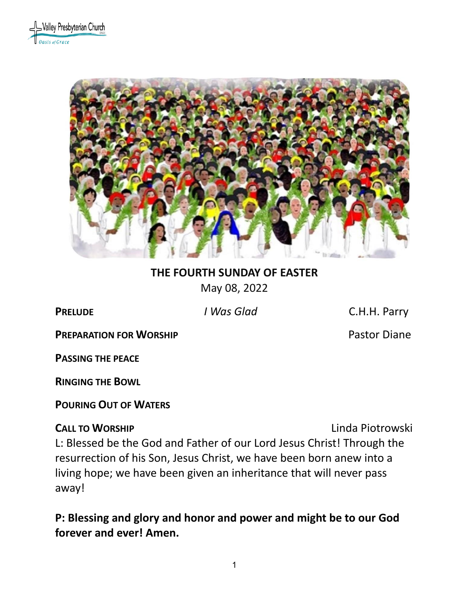

## **THE FOURTH SUNDAY OF EASTER** May 08, 2022

**PRELUDE** *I Was Glad* C.H.H. Parry

**PREPARATION FOR WORSHIP** *PREPARATION* 

**PASSING THE PEACE**

**RINGING THE BOWL** 

**POURING OUT OF WATERS**

#### **CALL TO WORSHIP** Linda Piotrowski

L: Blessed be the God and Father of our Lord Jesus Christ! Through the resurrection of his Son, Jesus Christ, we have been born anew into a living hope; we have been given an inheritance that will never pass away!

**P: Blessing and glory and honor and power and might be to our God forever and ever! Amen.**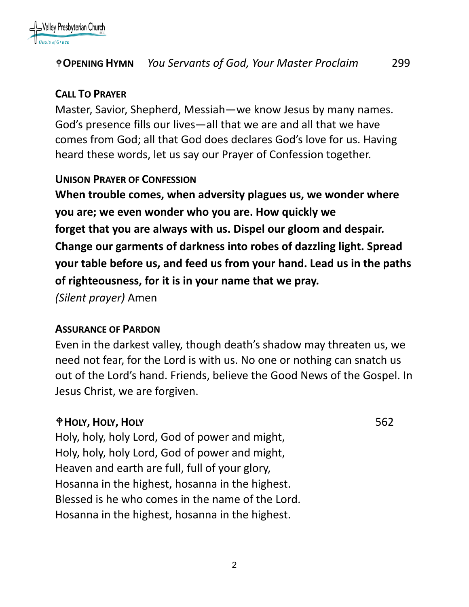

## **OPENING HYMN** *You Servants of God, Your Master Proclaim* 299

#### **CALL TO PRAYER**

Master, Savior, Shepherd, Messiah—we know Jesus by many names. God's presence fills our lives—all that we are and all that we have comes from God; all that God does declares God's love for us. Having heard these words, let us say our Prayer of Confession together.

#### **UNISON PRAYER OF CONFESSION**

**When trouble comes, when adversity plagues us, we wonder where you are; we even wonder who you are. How quickly we forget that you are always with us. Dispel our gloom and despair. Change our garments of darkness into robes of dazzling light. Spread your table before us, and feed us from your hand. Lead us in the paths of righteousness, for it is in your name that we pray.** 

*(Silent prayer)* Amen

#### **ASSURANCE OF PARDON**

Even in the darkest valley, though death's shadow may threaten us, we need not fear, for the Lord is with us. No one or nothing can snatch us out of the Lord's hand. Friends, believe the Good News of the Gospel. In Jesus Christ, we are forgiven.

## **HOLY, HOLY, HOLY** 562

Holy, holy, holy Lord, God of power and might, Holy, holy, holy Lord, God of power and might, Heaven and earth are full, full of your glory, Hosanna in the highest, hosanna in the highest. Blessed is he who comes in the name of the Lord. Hosanna in the highest, hosanna in the highest.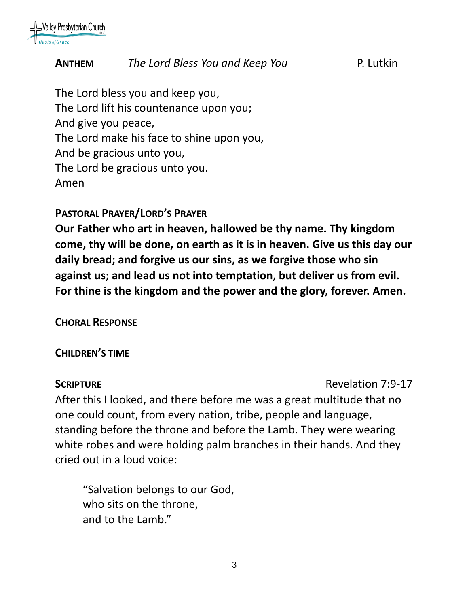

## **ANTHEM** *The Lord Bless You and Keep You* P. Lutkin

The Lord bless you and keep you, The Lord lift his countenance upon you; And give you peace, The Lord make his face to shine upon you, And be gracious unto you, The Lord be gracious unto you. Amen

## **PASTORAL PRAYER/LORD'S PRAYER**

**Our Father who art in heaven, hallowed be thy name. Thy kingdom come, thy will be done, on earth as it is in heaven. Give us this day our daily bread; and forgive us our sins, as we forgive those who sin against us; and lead us not into temptation, but deliver us from evil. For thine is the kingdom and the power and the glory, forever. Amen.**

**CHORAL RESPONSE**

## **CHILDREN'S TIME**

**SCRIPTURE SCRIPTURE Revelation 7:9-17** 

After this I looked, and there before me was a great multitude that no one could count, from every nation, tribe, people and language, standing before the throne and before the Lamb. They were wearing white robes and were holding palm branches in their hands. And they cried out in a loud voice:

"Salvation belongs to our God, who sits on the throne, and to the Lamb."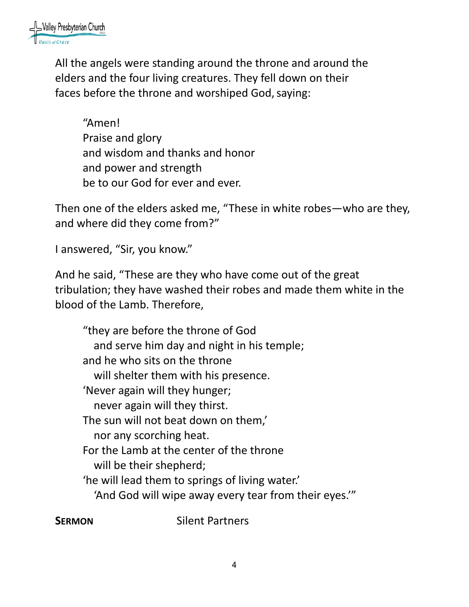

All the angels were standing around the throne and around the elders and the four living creatures. They fell down on their faces before the throne and worshiped God, saying:

"Amen! Praise and glory and wisdom and thanks and honor and power and strength be to our God for ever and ever.

Then one of the elders asked me, "These in white robes—who are they, and where did they come from?"

I answered, "Sir, you know."

And he said, "These are they who have come out of the great tribulation; they have washed their robes and made them white in the blood of the Lamb. Therefore,

"they are before the throne of God and serve him day and night in his temple; and he who sits on the throne will shelter them with his presence. 'Never again will they hunger; never again will they thirst. The sun will not beat down on them,' nor any scorching heat. For the Lamb at the center of the throne will be their shepherd; 'he will lead them to springs of living water.' 'And God will wipe away every tear from their eyes.'"

**SERMON** Silent Partners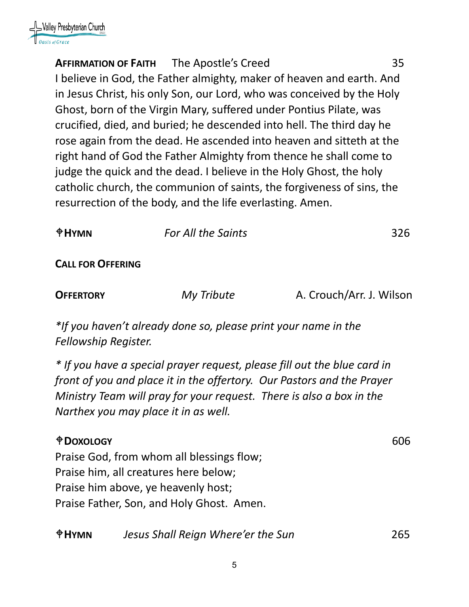

**AFFIRMATION OF FAITH** The Apostle's Creed 35 I believe in God, the Father almighty, maker of heaven and earth. And in Jesus Christ, his only Son, our Lord, who was conceived by the Holy Ghost, born of the Virgin Mary, suffered under Pontius Pilate, was crucified, died, and buried; he descended into hell. The third day he rose again from the dead. He ascended into heaven and sitteth at the right hand of God the Father Almighty from thence he shall come to judge the quick and the dead. I believe in the Holy Ghost, the holy catholic church, the communion of saints, the forgiveness of sins, the resurrection of the body, and the life everlasting. Amen.

| $\bigoplus$ HYMN | <b>For All the Saints</b> | 326 |
|------------------|---------------------------|-----|
|                  |                           |     |

**CALL FOR OFFERING**

**OFFERTORY** *My Tribute* **A. Crouch/Arr. J. Wilson** 

*\*If you haven't already done so, please print your name in the Fellowship Register.*

*\* If you have a special prayer request, please fill out the blue card in front of you and place it in the offertory. Our Pastors and the Prayer Ministry Team will pray for your request. There is also a box in the Narthex you may place it in as well.*

| <b><i><u>ODOXOLOGY</u></i></b>            | 606 |
|-------------------------------------------|-----|
| Praise God, from whom all blessings flow; |     |
| Praise him, all creatures here below;     |     |
| Praise him above, ye heavenly host;       |     |
| Praise Father, Son, and Holy Ghost. Amen. |     |
|                                           |     |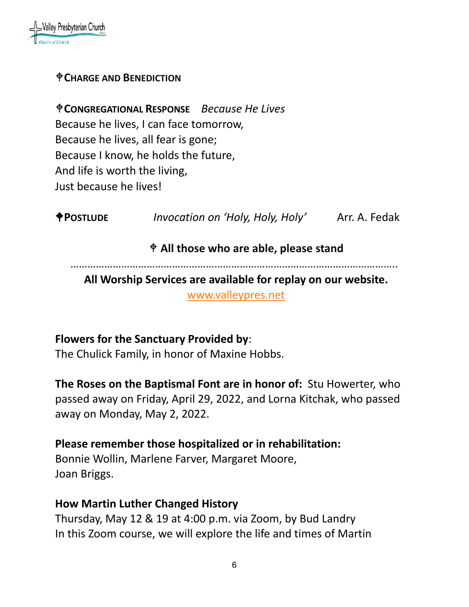

### **CHARGE AND BENEDICTION**

**CONGREGATIONAL RESPONSE** *Because He Lives* Because he lives, I can face tomorrow, Because he lives, all fear is gone; Because I know, he holds the future, And life is worth the living, Just because he lives!

**POSTLUDE** *Invocation on 'Holy, Holy, Holy'* Arr. A. Fedak

#### **All those who are able, please stand**

…………………………………………………………………………………………………….. **All Worship Services are available for replay on our website.** 

[www.valleypres.net](http://www.valleypres.net/)

#### **Flowers for the Sanctuary Provided by**:

The Chulick Family, in honor of Maxine Hobbs.

**The Roses on the Baptismal Font are in honor of:** Stu Howerter, who passed away on Friday, April 29, 2022, and Lorna Kitchak, who passed away on Monday, May 2, 2022.

**Please remember those hospitalized or in rehabilitation:** 

Bonnie Wollin, Marlene Farver, Margaret Moore, Joan Briggs.

#### **How Martin Luther Changed History**

Thursday, May 12 & 19 at 4:00 p.m. via Zoom, by Bud Landry In this Zoom course, we will explore the life and times of Martin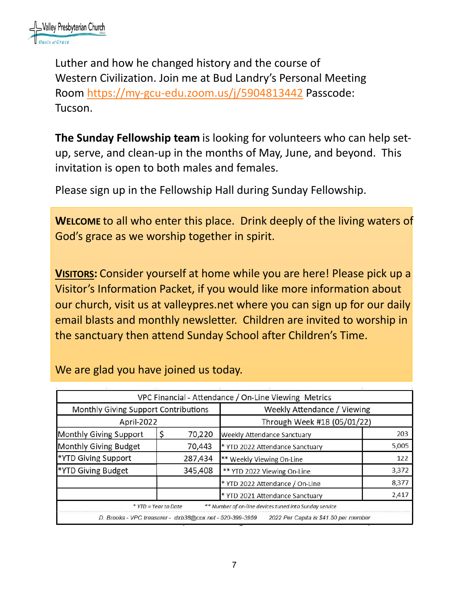

Luther and how he changed history and the course of Western Civilization. Join me at Bud Landry's Personal Meeting Room <https://my-gcu-edu.zoom.us/j/5904813442> Passcode: Tucson.

**The Sunday Fellowship team** is looking for volunteers who can help setup, serve, and clean-up in the months of May, June, and beyond. This invitation is open to both males and females.

Please sign up in the Fellowship Hall during Sunday Fellowship.

**WELCOME** to all who enter this place. Drink deeply of the living waters of God's grace as we worship together in spirit.

**VISITORS:** Consider yourself at home while you are here! Please pick up a Visitor's Information Packet, if you would like more information about our church, visit us at valleypres.net where you can sign up for our daily email blasts and monthly newsletter. Children are invited to worship in the sanctuary then attend Sunday School after Children's Time.

|                                                          |                      |         | VPC Financial - Attendance / On-Line Viewing Metrics   |       |
|----------------------------------------------------------|----------------------|---------|--------------------------------------------------------|-------|
| Monthly Giving Support Contributions                     |                      |         | Weekly Attendance / Viewing                            |       |
| April-2022                                               |                      |         | Through Week #18 (05/01/22)                            |       |
| Monthly Giving Support                                   |                      | 70,220  | Weekly Attendance Sanctuary                            | 203   |
| Monthly Giving Budget                                    |                      | 70,443  | * YTD 2022 Attendance Sanctuary                        | 5,005 |
| *YTD Giving Support                                      |                      | 287,434 | ** Weekly Viewing On-Line                              | 122   |
| *YTD Giving Budget                                       |                      | 345,408 | ** YTD 2022 Viewing On-Line                            | 3,372 |
|                                                          |                      |         | * YTD 2022 Attendance / On-Line                        | 8,377 |
|                                                          |                      |         | * YTD 2021 Attendance Sanctuary                        | 2,417 |
|                                                          | * YTD = Year to Date |         | ** Number of on-line devices tuned into Sunday service |       |
| D. Brooks - VPC treasurer - dxb38@cox.net - 520-399-3959 |                      |         | 2022 Per Capita is \$41.50 per member                  |       |

We are glad you have joined us today.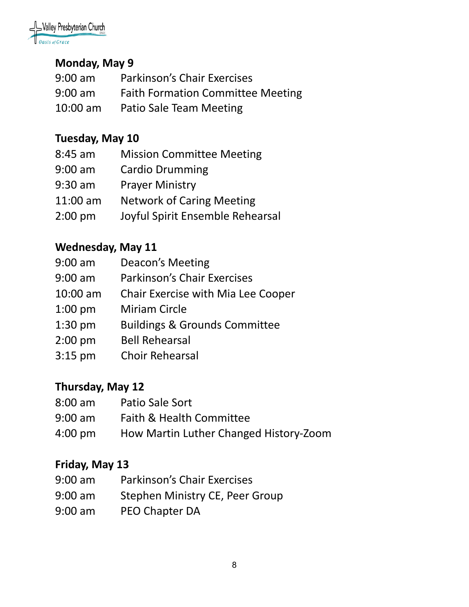

## **Monday, May 9**

| $9:00$ am  | Parkinson's Chair Exercises              |
|------------|------------------------------------------|
| $9:00$ am  | <b>Faith Formation Committee Meeting</b> |
| $10:00$ am | Patio Sale Team Meeting                  |

## **Tuesday, May 10**

| $8:45$ am  | <b>Mission Committee Meeting</b> |
|------------|----------------------------------|
| $9:00$ am  | <b>Cardio Drumming</b>           |
| $9:30$ am  | <b>Prayer Ministry</b>           |
| $11:00$ am | <b>Network of Caring Meeting</b> |
| $2:00$ pm  | Joyful Spirit Ensemble Rehearsal |
|            |                                  |

# **Wednesday, May 11**

- 9:00 am Deacon's Meeting
- 9:00 am Parkinson's Chair Exercises
- 10:00 am Chair Exercise with Mia Lee Cooper
- 1:00 pm Miriam Circle
- 1:30 pm Buildings & Grounds Committee
- 2:00 pm Bell Rehearsal
- 3:15 pm Choir Rehearsal

## **Thursday, May 12**

- 8:00 am Patio Sale Sort
- 9:00 am Faith & Health Committee
- 4:00 pm How Martin Luther Changed History-Zoom

## **Friday, May 13**

- 9:00 am Parkinson's Chair Exercises 9:00 am Stephen Ministry CE, Peer Group
- 9:00 am PEO Chapter DA